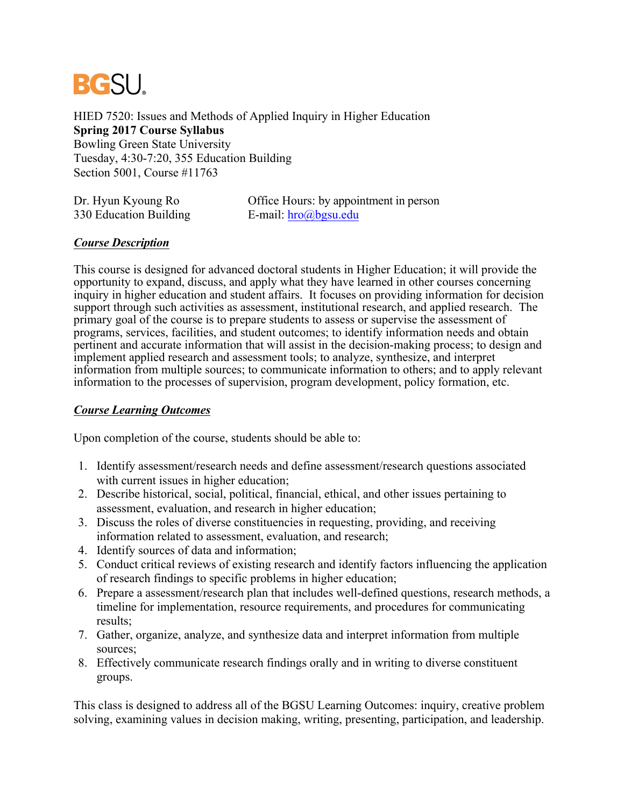

HIED 7520: Issues and Methods of Applied Inquiry in Higher Education **Spring 2017 Course Syllabus** Bowling Green State University Tuesday, 4:30-7:20, 355 Education Building Section 5001, Course #11763

| Dr. Hyun Kyoung Ro     | Office Hours: by appointment in person |
|------------------------|----------------------------------------|
| 330 Education Building | E-mail: $hro@bgsu.edu$                 |

### *Course Description*

This course is designed for advanced doctoral students in Higher Education; it will provide the opportunity to expand, discuss, and apply what they have learned in other courses concerning inquiry in higher education and student affairs. It focuses on providing information for decision support through such activities as assessment, institutional research, and applied research. The primary goal of the course is to prepare students to assess or supervise the assessment of programs, services, facilities, and student outcomes; to identify information needs and obtain pertinent and accurate information that will assist in the decision-making process; to design and implement applied research and assessment tools; to analyze, synthesize, and interpret information from multiple sources; to communicate information to others; and to apply relevant information to the processes of supervision, program development, policy formation, etc.

### *Course Learning Outcomes*

Upon completion of the course, students should be able to:

- 1. Identify assessment/research needs and define assessment/research questions associated with current issues in higher education;
- 2. Describe historical, social, political, financial, ethical, and other issues pertaining to assessment, evaluation, and research in higher education;
- 3. Discuss the roles of diverse constituencies in requesting, providing, and receiving information related to assessment, evaluation, and research;
- 4. Identify sources of data and information;
- 5. Conduct critical reviews of existing research and identify factors influencing the application of research findings to specific problems in higher education;
- 6. Prepare a assessment/research plan that includes well-defined questions, research methods, a timeline for implementation, resource requirements, and procedures for communicating results;
- 7. Gather, organize, analyze, and synthesize data and interpret information from multiple sources;
- 8. Effectively communicate research findings orally and in writing to diverse constituent groups.

This class is designed to address all of the BGSU Learning Outcomes: inquiry, creative problem solving, examining values in decision making, writing, presenting, participation, and leadership.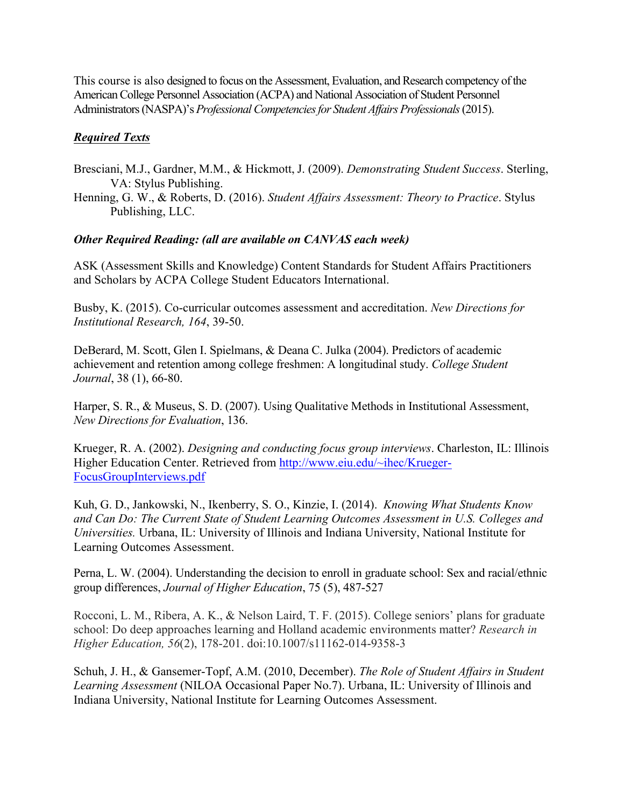This course is also designed to focus on the Assessment, Evaluation, and Research competency of the American College Personnel Association (ACPA) and National Association of Student Personnel Administrators (NASPA)'s *Professional Competencies for Student Affairs Professionals*(2015).

# *Required Texts*

- Bresciani, M.J., Gardner, M.M., & Hickmott, J. (2009). *Demonstrating Student Success*. Sterling, VA: Stylus Publishing.
- Henning, G. W., & Roberts, D. (2016). *Student Affairs Assessment: Theory to Practice*. Stylus Publishing, LLC.

# *Other Required Reading: (all are available on CANVAS each week)*

ASK (Assessment Skills and Knowledge) Content Standards for Student Affairs Practitioners and Scholars by ACPA College Student Educators International.

Busby, K. (2015). Co-curricular outcomes assessment and accreditation. *New Directions for Institutional Research, 164*, 39-50.

DeBerard, M. Scott, Glen I. Spielmans, & Deana C. Julka (2004). Predictors of academic achievement and retention among college freshmen: A longitudinal study. *College Student Journal*, 38 (1), 66-80.

Harper, S. R., & Museus, S. D. (2007). Using Qualitative Methods in Institutional Assessment, *New Directions for Evaluation*, 136.

Krueger, R. A. (2002). *Designing and conducting focus group interviews*. Charleston, IL: Illinois Higher Education Center. Retrieved from http://www.eiu.edu/~ihec/Krueger-FocusGroupInterviews.pdf

Kuh, G. D., Jankowski, N., Ikenberry, S. O., Kinzie, I. (2014). *Knowing What Students Know and Can Do: The Current State of Student Learning Outcomes Assessment in U.S. Colleges and Universities.* Urbana, IL: University of Illinois and Indiana University, National Institute for Learning Outcomes Assessment.

Perna, L. W. (2004). Understanding the decision to enroll in graduate school: Sex and racial/ethnic group differences, *Journal of Higher Education*, 75 (5), 487-527

Rocconi, L. M., Ribera, A. K., & Nelson Laird, T. F. (2015). College seniors' plans for graduate school: Do deep approaches learning and Holland academic environments matter? *Research in Higher Education, 56*(2), 178-201. doi:10.1007/s11162-014-9358-3

Schuh, J. H., & Gansemer-Topf, A.M. (2010, December). *The Role of Student Affairs in Student Learning Assessment* (NILOA Occasional Paper No.7). Urbana, IL: University of Illinois and Indiana University, National Institute for Learning Outcomes Assessment.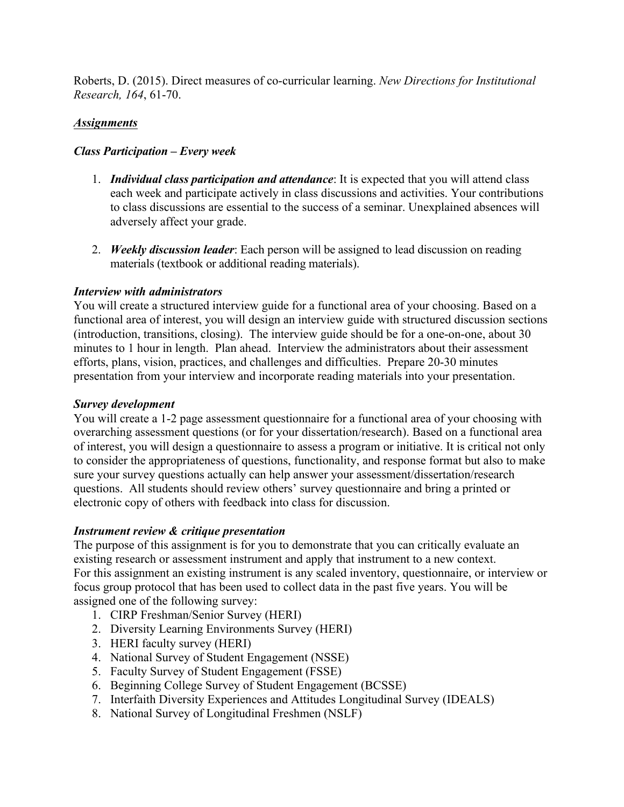Roberts, D. (2015). Direct measures of co-curricular learning. *New Directions for Institutional Research, 164*, 61-70.

## *Assignments*

### *Class Participation – Every week*

- 1. *Individual class participation and attendance*: It is expected that you will attend class each week and participate actively in class discussions and activities. Your contributions to class discussions are essential to the success of a seminar. Unexplained absences will adversely affect your grade.
- 2. *Weekly discussion leader*: Each person will be assigned to lead discussion on reading materials (textbook or additional reading materials).

### *Interview with administrators*

You will create a structured interview guide for a functional area of your choosing. Based on a functional area of interest, you will design an interview guide with structured discussion sections (introduction, transitions, closing). The interview guide should be for a one-on-one, about 30 minutes to 1 hour in length. Plan ahead. Interview the administrators about their assessment efforts, plans, vision, practices, and challenges and difficulties. Prepare 20-30 minutes presentation from your interview and incorporate reading materials into your presentation.

#### *Survey development*

You will create a 1-2 page assessment questionnaire for a functional area of your choosing with overarching assessment questions (or for your dissertation/research). Based on a functional area of interest, you will design a questionnaire to assess a program or initiative. It is critical not only to consider the appropriateness of questions, functionality, and response format but also to make sure your survey questions actually can help answer your assessment/dissertation/research questions. All students should review others' survey questionnaire and bring a printed or electronic copy of others with feedback into class for discussion.

### *Instrument review & critique presentation*

The purpose of this assignment is for you to demonstrate that you can critically evaluate an existing research or assessment instrument and apply that instrument to a new context. For this assignment an existing instrument is any scaled inventory, questionnaire, or interview or focus group protocol that has been used to collect data in the past five years. You will be assigned one of the following survey:

- 1. CIRP Freshman/Senior Survey (HERI)
- 2. Diversity Learning Environments Survey (HERI)
- 3. HERI faculty survey (HERI)
- 4. National Survey of Student Engagement (NSSE)
- 5. Faculty Survey of Student Engagement (FSSE)
- 6. Beginning College Survey of Student Engagement (BCSSE)
- 7. Interfaith Diversity Experiences and Attitudes Longitudinal Survey (IDEALS)
- 8. National Survey of Longitudinal Freshmen (NSLF)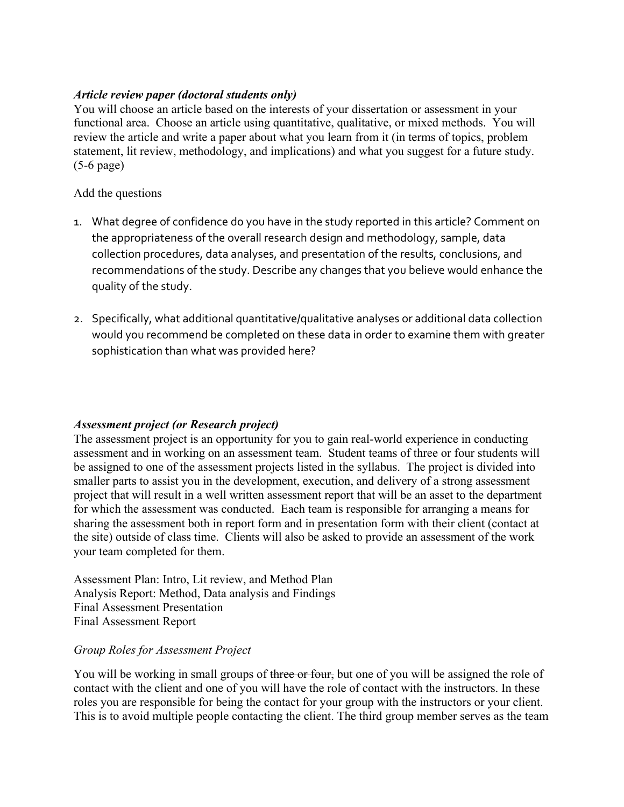## *Article review paper (doctoral students only)*

You will choose an article based on the interests of your dissertation or assessment in your functional area. Choose an article using quantitative, qualitative, or mixed methods. You will review the article and write a paper about what you learn from it (in terms of topics, problem statement, lit review, methodology, and implications) and what you suggest for a future study. (5-6 page)

### Add the questions

- 1. What degree of confidence do you have in the study reported in this article? Comment on the appropriateness of the overall research design and methodology, sample, data collection procedures, data analyses, and presentation of the results, conclusions, and recommendations of the study. Describe any changes that you believe would enhance the quality of the study.
- 2. Specifically, what additional quantitative/qualitative analyses or additional data collection would you recommend be completed on these data in order to examine them with greater sophistication than what was provided here?

# *Assessment project (or Research project)*

The assessment project is an opportunity for you to gain real-world experience in conducting assessment and in working on an assessment team. Student teams of three or four students will be assigned to one of the assessment projects listed in the syllabus. The project is divided into smaller parts to assist you in the development, execution, and delivery of a strong assessment project that will result in a well written assessment report that will be an asset to the department for which the assessment was conducted. Each team is responsible for arranging a means for sharing the assessment both in report form and in presentation form with their client (contact at the site) outside of class time. Clients will also be asked to provide an assessment of the work your team completed for them.

Assessment Plan: Intro, Lit review, and Method Plan Analysis Report: Method, Data analysis and Findings Final Assessment Presentation Final Assessment Report

### *Group Roles for Assessment Project*

You will be working in small groups of three or four, but one of you will be assigned the role of contact with the client and one of you will have the role of contact with the instructors. In these roles you are responsible for being the contact for your group with the instructors or your client. This is to avoid multiple people contacting the client. The third group member serves as the team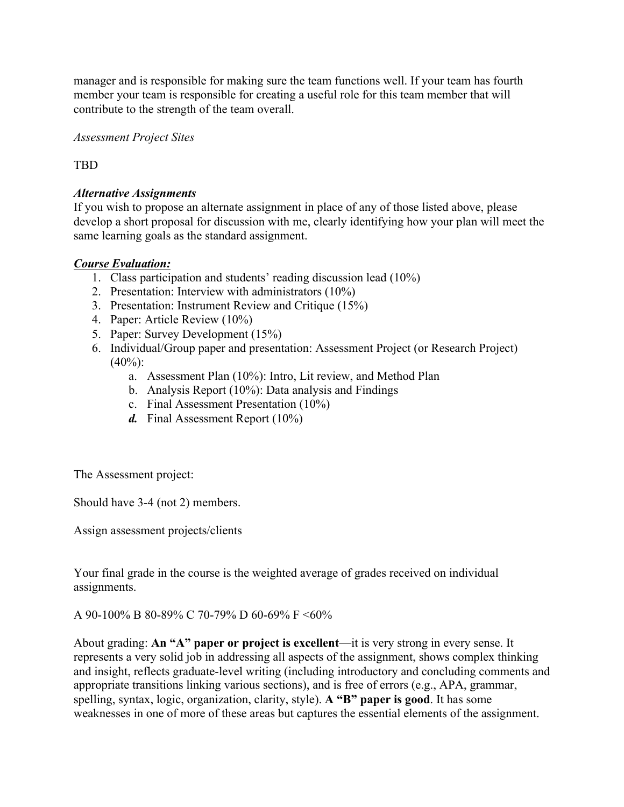manager and is responsible for making sure the team functions well. If your team has fourth member your team is responsible for creating a useful role for this team member that will contribute to the strength of the team overall.

*Assessment Project Sites*

TBD

## *Alternative Assignments*

If you wish to propose an alternate assignment in place of any of those listed above, please develop a short proposal for discussion with me, clearly identifying how your plan will meet the same learning goals as the standard assignment.

### *Course Evaluation:*

- 1. Class participation and students' reading discussion lead (10%)
- 2. Presentation: Interview with administrators (10%)
- 3. Presentation: Instrument Review and Critique (15%)
- 4. Paper: Article Review (10%)
- 5. Paper: Survey Development (15%)
- 6. Individual/Group paper and presentation: Assessment Project (or Research Project)  $(40\%)$ :
	- a. Assessment Plan (10%): Intro, Lit review, and Method Plan
	- b. Analysis Report (10%): Data analysis and Findings
	- c. Final Assessment Presentation (10%)
	- *d.* Final Assessment Report (10%)

The Assessment project:

Should have 3-4 (not 2) members.

Assign assessment projects/clients

Your final grade in the course is the weighted average of grades received on individual assignments.

A 90-100% B 80-89% C 70-79% D 60-69% F <60%

About grading: **An "A" paper or project is excellent**—it is very strong in every sense. It represents a very solid job in addressing all aspects of the assignment, shows complex thinking and insight, reflects graduate-level writing (including introductory and concluding comments and appropriate transitions linking various sections), and is free of errors (e.g., APA, grammar, spelling, syntax, logic, organization, clarity, style). **A "B" paper is good**. It has some weaknesses in one of more of these areas but captures the essential elements of the assignment.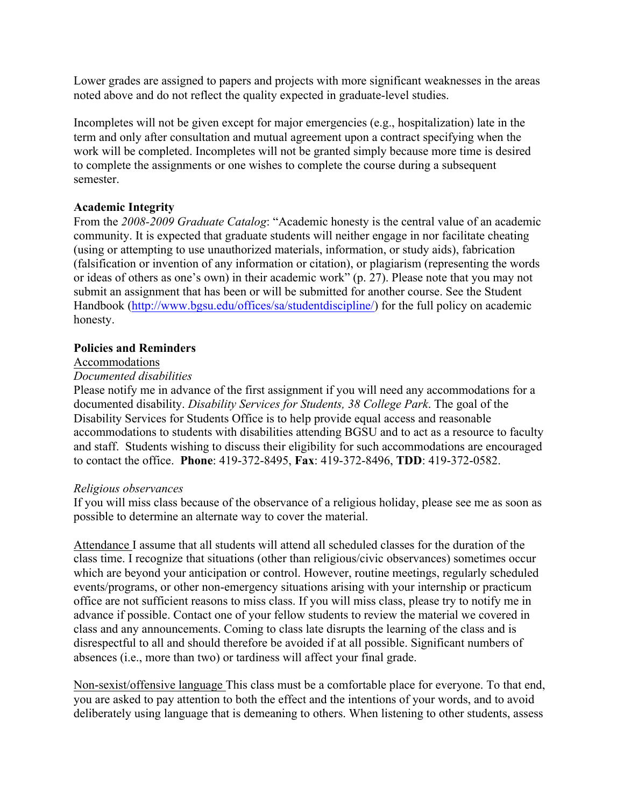Lower grades are assigned to papers and projects with more significant weaknesses in the areas noted above and do not reflect the quality expected in graduate-level studies.

Incompletes will not be given except for major emergencies (e.g., hospitalization) late in the term and only after consultation and mutual agreement upon a contract specifying when the work will be completed. Incompletes will not be granted simply because more time is desired to complete the assignments or one wishes to complete the course during a subsequent semester.

### **Academic Integrity**

From the *2008-2009 Graduate Catalog*: "Academic honesty is the central value of an academic community. It is expected that graduate students will neither engage in nor facilitate cheating (using or attempting to use unauthorized materials, information, or study aids), fabrication (falsification or invention of any information or citation), or plagiarism (representing the words or ideas of others as one's own) in their academic work" (p. 27). Please note that you may not submit an assignment that has been or will be submitted for another course. See the Student Handbook (http://www.bgsu.edu/offices/sa/studentdiscipline/) for the full policy on academic honesty.

### **Policies and Reminders**

#### Accommodations

### *Documented disabilities*

Please notify me in advance of the first assignment if you will need any accommodations for a documented disability. *Disability Services for Students, 38 College Park*. The goal of the Disability Services for Students Office is to help provide equal access and reasonable accommodations to students with disabilities attending BGSU and to act as a resource to faculty and staff. Students wishing to discuss their eligibility for such accommodations are encouraged to contact the office. **Phone**: 419-372-8495, **Fax**: 419-372-8496, **TDD**: 419-372-0582.

### *Religious observances*

If you will miss class because of the observance of a religious holiday, please see me as soon as possible to determine an alternate way to cover the material.

Attendance I assume that all students will attend all scheduled classes for the duration of the class time. I recognize that situations (other than religious/civic observances) sometimes occur which are beyond your anticipation or control. However, routine meetings, regularly scheduled events/programs, or other non-emergency situations arising with your internship or practicum office are not sufficient reasons to miss class. If you will miss class, please try to notify me in advance if possible. Contact one of your fellow students to review the material we covered in class and any announcements. Coming to class late disrupts the learning of the class and is disrespectful to all and should therefore be avoided if at all possible. Significant numbers of absences (i.e., more than two) or tardiness will affect your final grade.

Non-sexist/offensive language This class must be a comfortable place for everyone. To that end, you are asked to pay attention to both the effect and the intentions of your words, and to avoid deliberately using language that is demeaning to others. When listening to other students, assess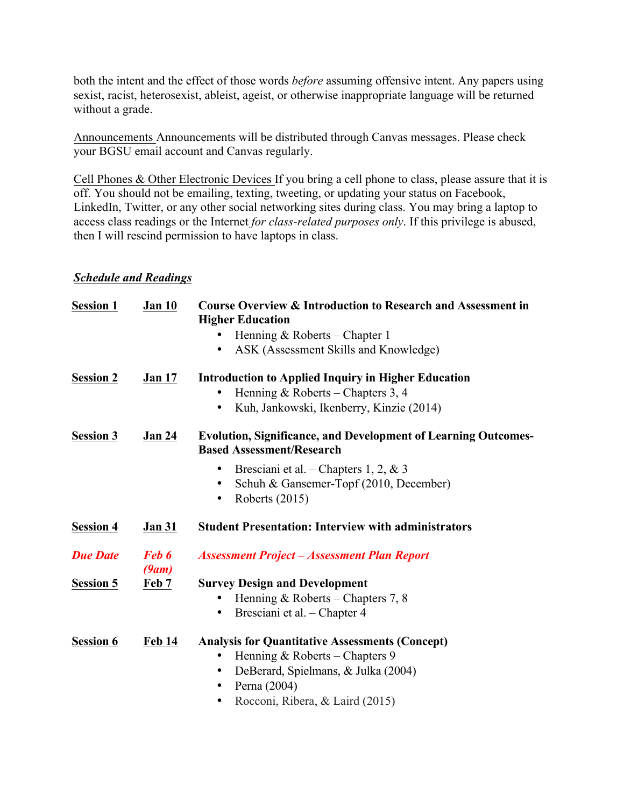both the intent and the effect of those words *before* assuming offensive intent. Any papers using sexist, racist, heterosexist, ableist, ageist, or otherwise inappropriate language will be returned without a grade.

Announcements Announcements will be distributed through Canvas messages. Please check your BGSU email account and Canvas regularly.

Cell Phones & Other Electronic Devices If you bring a cell phone to class, please assure that it is off. You should not be emailing, texting, tweeting, or updating your status on Facebook, LinkedIn, Twitter, or any other social networking sites during class. You may bring a laptop to access class readings or the Internet *for class-related purposes only*. If this privilege is abused, then I will rescind permission to have laptops in class.

# *Schedule and Readings*

| <b>Session 1</b> | <b>Jan 10</b>  | <b>Course Overview &amp; Introduction to Research and Assessment in</b><br><b>Higher Education</b>        |  |
|------------------|----------------|-----------------------------------------------------------------------------------------------------------|--|
|                  |                | Henning & Roberts – Chapter 1                                                                             |  |
|                  |                | ASK (Assessment Skills and Knowledge)                                                                     |  |
| <b>Session 2</b> | <b>Jan 17</b>  | <b>Introduction to Applied Inquiry in Higher Education</b>                                                |  |
|                  |                | Henning & Roberts – Chapters 3, 4                                                                         |  |
|                  |                | Kuh, Jankowski, Ikenberry, Kinzie (2014)<br>$\bullet$                                                     |  |
| <b>Session 3</b> | <b>Jan 24</b>  | <b>Evolution, Significance, and Development of Learning Outcomes-</b><br><b>Based Assessment/Research</b> |  |
|                  |                | Bresciani et al. – Chapters 1, 2, & 3                                                                     |  |
|                  |                | Schuh & Gansemer-Topf (2010, December)<br>$\bullet$                                                       |  |
|                  |                | Roberts (2015)<br>$\bullet$                                                                               |  |
| <b>Session 4</b> | <b>Jan 31</b>  | <b>Student Presentation: Interview with administrators</b>                                                |  |
| <b>Due Date</b>  | Feb 6<br>(9am) | <b>Assessment Project - Assessment Plan Report</b>                                                        |  |
| <b>Session 5</b> | Feb 7          | <b>Survey Design and Development</b>                                                                      |  |
|                  |                | Henning & Roberts – Chapters 7, 8                                                                         |  |
|                  |                | Bresciani et al. - Chapter 4                                                                              |  |
| <b>Session 6</b> | <b>Feb 14</b>  | <b>Analysis for Quantitative Assessments (Concept)</b>                                                    |  |
|                  |                | Henning & Roberts – Chapters 9<br>$\bullet$                                                               |  |
|                  |                | DeBerard, Spielmans, & Julka (2004)<br>$\bullet$                                                          |  |
|                  |                | Perna (2004)<br>$\bullet$                                                                                 |  |
|                  |                | Rocconi, Ribera, & Laird (2015)                                                                           |  |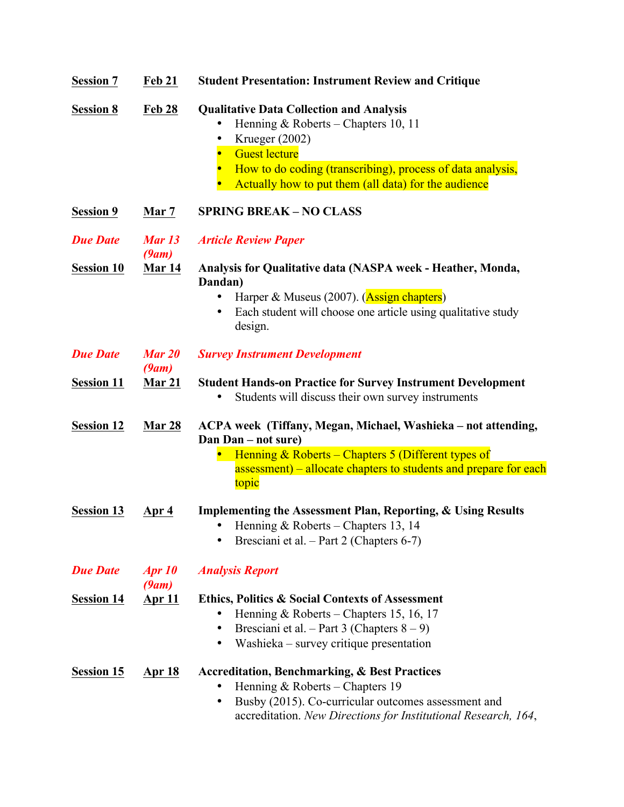| <b>Session 7</b>  | <b>Feb 21</b>          | <b>Student Presentation: Instrument Review and Critique</b>                          |  |
|-------------------|------------------------|--------------------------------------------------------------------------------------|--|
| <b>Session 8</b>  | <b>Feb 28</b>          | <b>Qualitative Data Collection and Analysis</b>                                      |  |
|                   |                        | Henning & Roberts – Chapters 10, 11                                                  |  |
|                   |                        | Krueger (2002)                                                                       |  |
|                   |                        | <b>Guest lecture</b>                                                                 |  |
|                   |                        | How to do coding (transcribing), process of data analysis,<br>$\bullet$              |  |
|                   |                        | Actually how to put them (all data) for the audience                                 |  |
| <b>Session 9</b>  | Mar 7                  | <b>SPRING BREAK - NO CLASS</b>                                                       |  |
| <b>Due Date</b>   | <b>Mar 13</b><br>(9am) | <b>Article Review Paper</b>                                                          |  |
| <b>Session 10</b> | <b>Mar 14</b>          | Analysis for Qualitative data (NASPA week - Heather, Monda,                          |  |
|                   |                        | Dandan)                                                                              |  |
|                   |                        | Harper & Museus (2007). (Assign chapters)                                            |  |
|                   |                        | Each student will choose one article using qualitative study                         |  |
|                   |                        | design.                                                                              |  |
| <b>Due Date</b>   | <b>Mar 20</b>          | <b>Survey Instrument Development</b>                                                 |  |
|                   | (9am)                  |                                                                                      |  |
| <b>Session 11</b> | Mar 21                 | <b>Student Hands-on Practice for Survey Instrument Development</b>                   |  |
|                   |                        | Students will discuss their own survey instruments                                   |  |
| <b>Session 12</b> | <b>Mar 28</b>          | ACPA week (Tiffany, Megan, Michael, Washieka - not attending,<br>Dan Dan – not sure) |  |
|                   |                        | Henning & Roberts – Chapters 5 (Different types of                                   |  |
|                   |                        | assessment) – allocate chapters to students and prepare for each                     |  |
|                   |                        | topic                                                                                |  |
| <b>Session 13</b> | <u>Apr 4</u>           | Implementing the Assessment Plan, Reporting, & Using Results                         |  |
|                   |                        | Henning & Roberts – Chapters 13, 14                                                  |  |
|                   |                        | Bresciani et al. - Part 2 (Chapters 6-7)                                             |  |
|                   |                        |                                                                                      |  |
| <b>Due Date</b>   | <b>Apr 10</b>          | <b>Analysis Report</b>                                                               |  |
|                   | (9am)                  |                                                                                      |  |
| <b>Session 14</b> | <u>Apr 11</u>          | <b>Ethics, Politics &amp; Social Contexts of Assessment</b>                          |  |
|                   |                        | Henning & Roberts – Chapters 15, 16, 17                                              |  |
|                   |                        | Bresciani et al. – Part 3 (Chapters $8-9$ )<br>٠                                     |  |
|                   |                        | Washieka – survey critique presentation<br>٠                                         |  |
| <b>Session 15</b> | <b>Apr 18</b>          | <b>Accreditation, Benchmarking, &amp; Best Practices</b>                             |  |
|                   |                        | Henning & Roberts – Chapters 19                                                      |  |
|                   |                        | Busby (2015). Co-curricular outcomes assessment and<br>٠                             |  |
|                   |                        | accreditation. New Directions for Institutional Research, 164,                       |  |